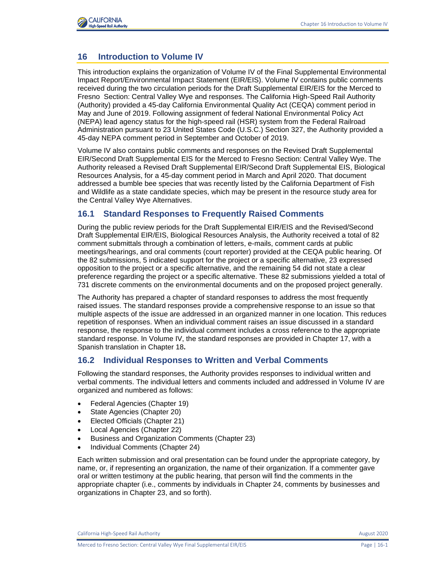

## **16 Introduction to Volume IV**

This introduction explains the organization of Volume IV of the Final Supplemental Environmental Impact Report/Environmental Impact Statement (EIR/EIS). Volume IV contains public comments received during the two circulation periods for the Draft Supplemental EIR/EIS for the Merced to Fresno Section: Central Valley Wye and responses. The California High-Speed Rail Authority (Authority) provided a 45-day California Environmental Quality Act (CEQA) comment period in May and June of 2019. Following assignment of federal National Environmental Policy Act (NEPA) lead agency status for the high-speed rail (HSR) system from the Federal Railroad Administration pursuant to 23 United States Code (U.S.C.) Section 327, the Authority provided a 45-day NEPA comment period in September and October of 2019.

Volume IV also contains public comments and responses on the Revised Draft Supplemental EIR/Second Draft Supplemental EIS for the Merced to Fresno Section: Central Valley Wye. The Authority released a Revised Draft Supplemental EIR/Second Draft Supplemental EIS, Biological Resources Analysis, for a 45-day comment period in March and April 2020. That document addressed a bumble bee species that was recently listed by the California Department of Fish and Wildlife as a state candidate species, which may be present in the resource study area for the Central Valley Wye Alternatives.

## **16.1 Standard Responses to Frequently Raised Comments**

During the public review periods for the Draft Supplemental EIR/EIS and the Revised/Second Draft Supplemental EIR/EIS, Biological Resources Analysis, the Authority received a total of 82 comment submittals through a combination of letters, e-mails, comment cards at public meetings/hearings, and oral comments (court reporter) provided at the CEQA public hearing. Of the 82 submissions, 5 indicated support for the project or a specific alternative, 23 expressed opposition to the project or a specific alternative, and the remaining 54 did not state a clear preference regarding the project or a specific alternative. These 82 submissions yielded a total of 731 discrete comments on the environmental documents and on the proposed project generally.

The Authority has prepared a chapter of standard responses to address the most frequently raised issues. The standard responses provide a comprehensive response to an issue so that multiple aspects of the issue are addressed in an organized manner in one location. This reduces repetition of responses. When an individual comment raises an issue discussed in a standard response, the response to the individual comment includes a cross reference to the appropriate standard response. In Volume IV, the standard responses are provided in Chapter 17, with a Spanish translation in Chapter 18**.**

## **16.2 Individual Responses to Written and Verbal Comments**

Following the standard responses, the Authority provides responses to individual written and verbal comments. The individual letters and comments included and addressed in Volume IV are organized and numbered as follows:

- Federal Agencies (Chapter 19)
- State Agencies (Chapter 20)
- Elected Officials (Chapter 21)
- Local Agencies (Chapter 22)
- Business and Organization Comments (Chapter 23)
- Individual Comments (Chapter 24)

Each written submission and oral presentation can be found under the appropriate category, by name, or, if representing an organization, the name of their organization. If a commenter gave oral or written testimony at the public hearing, that person will find the comments in the appropriate chapter (i.e., comments by individuals in Chapter 24, comments by businesses and organizations in Chapter 23, and so forth).

California High-Speed Rail Authority **August 2020 August 2020**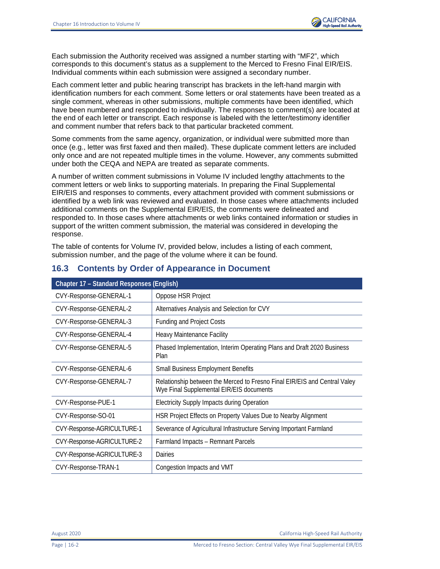

Each submission the Authority received was assigned a number starting with "MF2", which corresponds to this document's status as a supplement to the Merced to Fresno Final EIR/EIS. Individual comments within each submission were assigned a secondary number.

Each comment letter and public hearing transcript has brackets in the left-hand margin with identification numbers for each comment. Some letters or oral statements have been treated as a single comment, whereas in other submissions, multiple comments have been identified, which have been numbered and responded to individually. The responses to comment(s) are located at the end of each letter or transcript. Each response is labeled with the letter/testimony identifier and comment number that refers back to that particular bracketed comment.

Some comments from the same agency, organization, or individual were submitted more than once (e.g., letter was first faxed and then mailed). These duplicate comment letters are included only once and are not repeated multiple times in the volume. However, any comments submitted under both the CEQA and NEPA are treated as separate comments.

A number of written comment submissions in Volume IV included lengthy attachments to the comment letters or web links to supporting materials. In preparing the Final Supplemental EIR/EIS and responses to comments, every attachment provided with comment submissions or identified by a web link was reviewed and evaluated. In those cases where attachments included additional comments on the Supplemental EIR/EIS, the comments were delineated and responded to. In those cases where attachments or web links contained information or studies in support of the written comment submission, the material was considered in developing the response.

The table of contents for Volume IV, provided below, includes a listing of each comment, submission number, and the page of the volume where it can be found.

| <b>Chapter 17 - Standard Responses (English)</b> |                                                                                                                       |  |  |
|--------------------------------------------------|-----------------------------------------------------------------------------------------------------------------------|--|--|
| CVY-Response-GENERAL-1                           | Oppose HSR Project                                                                                                    |  |  |
| CVY-Response-GENERAL-2                           | Alternatives Analysis and Selection for CVY                                                                           |  |  |
| CVY-Response-GENERAL-3                           | <b>Funding and Project Costs</b>                                                                                      |  |  |
| CVY-Response-GENERAL-4                           | <b>Heavy Maintenance Facility</b>                                                                                     |  |  |
| CVY-Response-GENERAL-5                           | Phased Implementation, Interim Operating Plans and Draft 2020 Business<br>Plan                                        |  |  |
| CVY-Response-GENERAL-6                           | <b>Small Business Employment Benefits</b>                                                                             |  |  |
| CVY-Response-GENERAL-7                           | Relationship between the Merced to Fresno Final EIR/EIS and Central Valey<br>Wye Final Supplemental EIR/EIS documents |  |  |
| CVY-Response-PUE-1                               | <b>Electricity Supply Impacts during Operation</b>                                                                    |  |  |
| CVY-Response-SO-01                               | HSR Project Effects on Property Values Due to Nearby Alignment                                                        |  |  |
| CVY-Response-AGRICULTURE-1                       | Severance of Agricultural Infrastructure Serving Important Farmland                                                   |  |  |
| CVY-Response-AGRICULTURE-2                       | Farmland Impacts - Remnant Parcels                                                                                    |  |  |
| CVY-Response-AGRICULTURE-3                       | Dairies                                                                                                               |  |  |
| CVY-Response-TRAN-1                              | Congestion Impacts and VMT                                                                                            |  |  |

## **16.3 Contents by Order of Appearance in Document**

August 2020 California High-Speed Rail Authority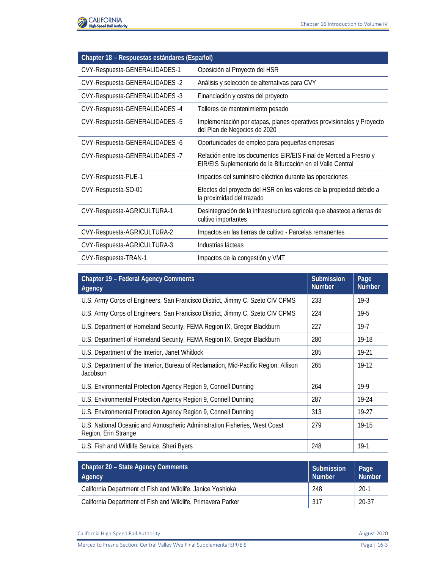

| Chapter 18 - Respuestas estándares (Español) |                                                                                                                                 |  |  |
|----------------------------------------------|---------------------------------------------------------------------------------------------------------------------------------|--|--|
| CVY-Respuesta-GENERALIDADES-1                | Oposición al Proyecto del HSR                                                                                                   |  |  |
| CVY-Respuesta-GENERALIDADES -2               | Análisis y selección de alternativas para CVY                                                                                   |  |  |
| CVY-Respuesta-GENERALIDADES -3               | Financiación y costos del proyecto                                                                                              |  |  |
| CVY-Respuesta-GENERALIDADES-4                | Talleres de mantenimiento pesado                                                                                                |  |  |
| CVY-Respuesta-GENERALIDADES -5               | Implementación por etapas, planes operativos provisionales y Proyecto<br>del Plan de Negocios de 2020                           |  |  |
| CVY-Respuesta-GENERALIDADES -6               | Oportunidades de empleo para pequeñas empresas                                                                                  |  |  |
| CVY-Respuesta-GENERALIDADES -7               | Relación entre los documentos EIR/EIS Final de Merced a Fresno y<br>EIR/EIS Suplementario de la Bifurcación en el Valle Central |  |  |
| CVY-Respuesta-PUE-1                          | Impactos del suministro eléctrico durante las operaciones                                                                       |  |  |
| CVY-Respuesta-SO-01                          | Efectos del proyecto del HSR en los valores de la propiedad debido a<br>la proximidad del trazado                               |  |  |
| CVY-Respuesta-AGRICULTURA-1                  | Desintegración de la infraestructura agrícola que abastece a tierras de<br>cultivo importantes                                  |  |  |
| CVY-Respuesta-AGRICULTURA-2                  | Impactos en las tierras de cultivo - Parcelas remanentes                                                                        |  |  |
| CVY-Respuesta-AGRICULTURA-3                  | Industrias lácteas                                                                                                              |  |  |
| CVY-Respuesta-TRAN-1                         | Impactos de la congestión y VMT                                                                                                 |  |  |

| <b>Chapter 19 - Federal Agency Comments</b><br>Agency                                              | <b>Submission</b><br><b>Number</b> | Page<br><b>Number</b> |
|----------------------------------------------------------------------------------------------------|------------------------------------|-----------------------|
| U.S. Army Corps of Engineers, San Francisco District, Jimmy C. Szeto CIV CPMS                      | 233                                | $19-3$                |
| U.S. Army Corps of Engineers, San Francisco District, Jimmy C. Szeto CIV CPMS                      | 224                                | $19 - 5$              |
| U.S. Department of Homeland Security, FEMA Region IX, Gregor Blackburn                             | 227                                | $19 - 7$              |
| U.S. Department of Homeland Security, FEMA Region IX, Gregor Blackburn                             | 280                                | 19-18                 |
| U.S. Department of the Interior, Janet Whitlock                                                    | 285                                | 19-21                 |
| U.S. Department of the Interior, Bureau of Reclamation, Mid-Pacific Region, Allison<br>Jacobson    | 265                                | 19-12                 |
| U.S. Environmental Protection Agency Region 9, Connell Dunning                                     | 264                                | $19-9$                |
| U.S. Environmental Protection Agency Region 9, Connell Dunning                                     | 287                                | 19-24                 |
| U.S. Environmental Protection Agency Region 9, Connell Dunning                                     | 313                                | 19-27                 |
| U.S. National Oceanic and Atmospheric Administration Fisheries, West Coast<br>Region, Erin Strange | 279                                | 19-15                 |
| U.S. Fish and Wildlife Service, Sheri Byers                                                        | 248                                | $19-1$                |

| Chapter 20 - State Agency Comments<br>Agency                 | Submission<br><b>Number</b> | Page<br><b>Number</b> |
|--------------------------------------------------------------|-----------------------------|-----------------------|
| California Department of Fish and Wildlife, Janice Yoshioka  | 248                         | $20-1$                |
| California Department of Fish and Wildlife, Primavera Parker | 317                         | 20-37                 |

California High-Speed Rail Authority **August 2020**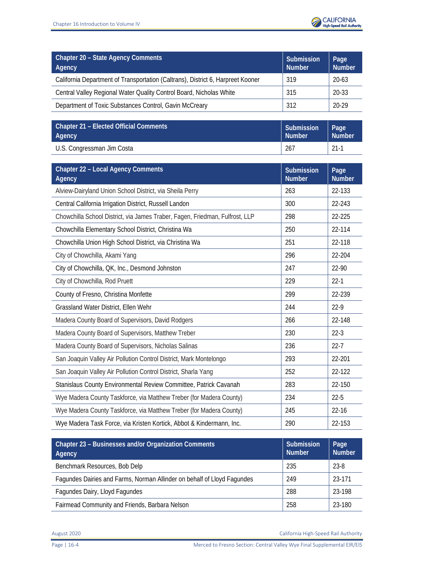

| Chapter 20 - State Agency Comments<br>Agency                                    | Submission<br><b>Number</b> | Page<br><b>Number</b> |
|---------------------------------------------------------------------------------|-----------------------------|-----------------------|
| California Department of Transportation (Caltrans), District 6, Harpreet Kooner | 319                         | $20 - 63$             |
| Central Valley Regional Water Quality Control Board, Nicholas White             | 315                         | 20-33                 |
| Department of Toxic Substances Control, Gavin McCreary                          | 312                         | $20 - 29$             |

| Chapter 21 – Elected Official Comments | Submission    | Page          |
|----------------------------------------|---------------|---------------|
| <b>Agency</b>                          | <b>Number</b> | <b>Number</b> |
| U.S. Congressman Jim Costa             | 267           | $21-1$        |

| <b>Chapter 22 - Local Agency Comments</b><br>Agency                          | <b>Submission</b><br><b>Number</b> | Page<br><b>Number</b> |
|------------------------------------------------------------------------------|------------------------------------|-----------------------|
| Alview-Dairyland Union School District, via Sheila Perry                     | 263                                | 22-133                |
| Central California Irrigation District, Russell Landon<br>300                |                                    | 22-243                |
| Chowchilla School District, via James Traber, Fagen, Friedman, Fulfrost, LLP | 298                                | 22-225                |
| Chowchilla Elementary School District, Christina Wa                          | 250                                | 22-114                |
| Chowchilla Union High School District, via Christina Wa                      | 251                                | 22-118                |
| City of Chowchilla, Akami Yang                                               | 296                                | 22-204                |
| City of Chowchilla, QK, Inc., Desmond Johnston                               | 247                                | 22-90                 |
| City of Chowchilla, Rod Pruett                                               | 229                                | $22 - 1$              |
| County of Fresno, Christina Monfette                                         | 299                                | 22-239                |
| Grassland Water District, Ellen Wehr                                         | 244                                | $22-9$                |
| Madera County Board of Supervisors, David Rodgers                            | 266                                | 22-148                |
| Madera County Board of Supervisors, Matthew Treber                           | 230                                | $22-3$                |
| Madera County Board of Supervisors, Nicholas Salinas                         | 236                                | $22 - 7$              |
| San Joaquin Valley Air Pollution Control District, Mark Montelongo           | 293                                | 22-201                |
| San Joaquin Valley Air Pollution Control District, Sharla Yang               | 252                                | 22-122                |
| Stanislaus County Environmental Review Committee, Patrick Cavanah            | 283                                | 22-150                |
| Wye Madera County Taskforce, via Matthew Treber (for Madera County)          | 234                                | $22 - 5$              |
| Wye Madera County Taskforce, via Matthew Treber (for Madera County)          | 245                                | $22 - 16$             |
| Wye Madera Task Force, via Kristen Kortick, Abbot & Kindermann, Inc.         | 290                                | 22-153                |

| Chapter 23 - Businesses and/or Organization Comments<br>Agency          | <b>Submission</b><br><b>Number</b> | Page<br><b>Number</b> |
|-------------------------------------------------------------------------|------------------------------------|-----------------------|
| Benchmark Resources, Bob Delp                                           | 235                                | 23-8                  |
| Fagundes Dairies and Farms, Norman Allinder on behalf of Lloyd Fagundes | 249                                | 23-171                |
| Fagundes Dairy, Lloyd Fagundes                                          | 288                                | 23-198                |
| Fairmead Community and Friends, Barbara Nelson                          | 258                                | 23-180                |

August 2020 California High-Speed Rail Authority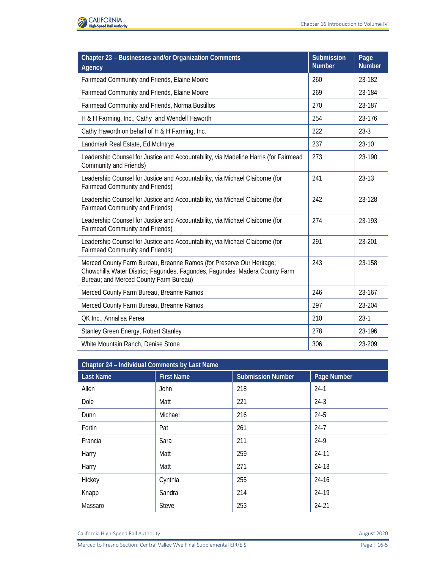

| Chapter 23 - Businesses and/or Organization Comments<br>Agency                                                                                                                                | Submission<br><b>Number</b> | Page<br><b>Number</b> |
|-----------------------------------------------------------------------------------------------------------------------------------------------------------------------------------------------|-----------------------------|-----------------------|
| Fairmead Community and Friends, Elaine Moore                                                                                                                                                  | 260                         | 23-182                |
| Fairmead Community and Friends, Elaine Moore                                                                                                                                                  | 269                         | 23-184                |
| Fairmead Community and Friends, Norma Bustillos                                                                                                                                               | 270                         | 23-187                |
| H & H Farming, Inc., Cathy and Wendell Haworth                                                                                                                                                | 254                         | 23-176                |
| Cathy Haworth on behalf of H & H Farming, Inc.                                                                                                                                                | 222                         | $23-3$                |
| Landmark Real Estate, Ed McIntrye                                                                                                                                                             | 237                         | $23-10$               |
| Leadership Counsel for Justice and Accountability, via Madeline Harris (for Fairmead<br>Community and Friends)                                                                                | 273                         | 23-190                |
| Leadership Counsel for Justice and Accountability, via Michael Claiborne (for<br><b>Fairmead Community and Friends)</b>                                                                       | 241                         | $23-13$               |
| Leadership Counsel for Justice and Accountability, via Michael Claiborne (for<br><b>Fairmead Community and Friends)</b>                                                                       | 242                         | 23-128                |
| Leadership Counsel for Justice and Accountability, via Michael Claiborne (for<br><b>Fairmead Community and Friends)</b>                                                                       | 274                         | 23-193                |
| Leadership Counsel for Justice and Accountability, via Michael Claiborne (for<br><b>Fairmead Community and Friends)</b>                                                                       | 291                         | 23-201                |
| Merced County Farm Bureau, Breanne Ramos (for Preserve Our Heritage;<br>Chowchilla Water District; Fagundes, Fagundes, Fagundes; Madera County Farm<br>Bureau; and Merced County Farm Bureau) | 243                         | 23-158                |
| Merced County Farm Bureau, Breanne Ramos                                                                                                                                                      | 246                         | 23-167                |
| Merced County Farm Bureau, Breanne Ramos                                                                                                                                                      | 297                         | 23-204                |
| QK Inc., Annalisa Perea                                                                                                                                                                       | 210                         | $23-1$                |
| Stanley Green Energy, Robert Stanley                                                                                                                                                          | 278                         | 23-196                |
| White Mountain Ranch, Denise Stone                                                                                                                                                            | 306                         | 23-209                |

| Chapter 24 - Individual Comments by Last Name |                   |                          |             |
|-----------------------------------------------|-------------------|--------------------------|-------------|
| <b>Last Name</b>                              | <b>First Name</b> | <b>Submission Number</b> | Page Number |
| Allen                                         | John              | 218                      | $24-1$      |
| Dole                                          | Matt              | 221                      | $24-3$      |
| Dunn                                          | Michael           | 216                      | $24-5$      |
| Fortin                                        | Pat               | 261                      | $24-7$      |
| Francia                                       | Sara              | 211                      | 24-9        |
| Harry                                         | Matt              | 259                      | $24-11$     |
| Harry                                         | Matt              | 271                      | 24-13       |
| Hickey                                        | Cynthia           | 255                      | $24 - 16$   |
| Knapp                                         | Sandra            | 214                      | 24-19       |
| Massaro                                       | <b>Steve</b>      | 253                      | 24-21       |

California High-Speed Rail Authority **August 2020**